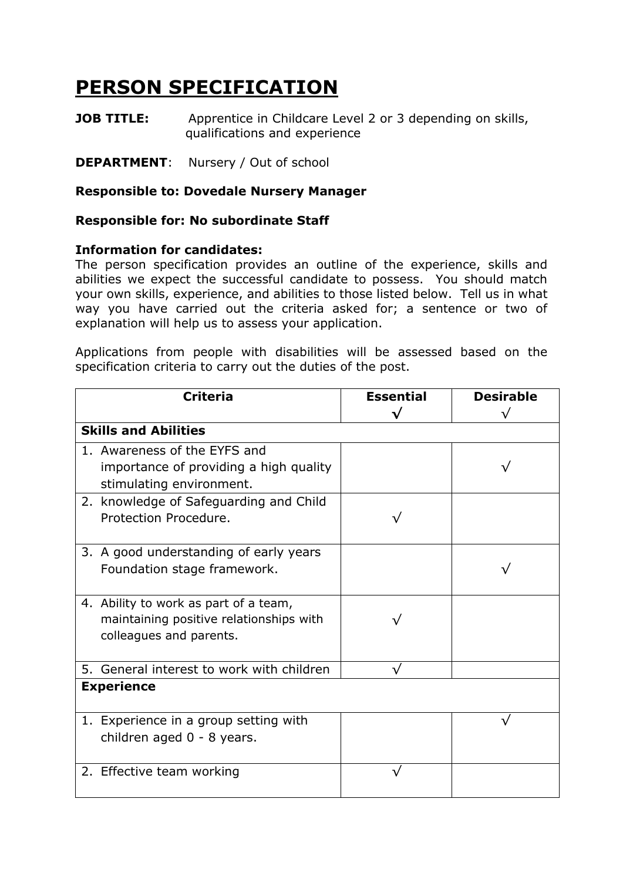## **PERSON SPECIFICATION**

**JOB TITLE:** Apprentice in Childcare Level 2 or 3 depending on skills, qualifications and experience

**DEPARTMENT**: Nursery / Out of school

## **Responsible to: Dovedale Nursery Manager**

## **Responsible for: No subordinate Staff**

## **Information for candidates:**

The person specification provides an outline of the experience, skills and abilities we expect the successful candidate to possess. You should match your own skills, experience, and abilities to those listed below. Tell us in what way you have carried out the criteria asked for; a sentence or two of explanation will help us to assess your application.

Applications from people with disabilities will be assessed based on the specification criteria to carry out the duties of the post.

| <b>Criteria</b>                           | <b>Essential</b> | <b>Desirable</b> |  |
|-------------------------------------------|------------------|------------------|--|
|                                           |                  | /٦               |  |
| <b>Skills and Abilities</b>               |                  |                  |  |
| 1. Awareness of the EYFS and              |                  |                  |  |
| importance of providing a high quality    |                  |                  |  |
| stimulating environment.                  |                  |                  |  |
| 2. knowledge of Safeguarding and Child    |                  |                  |  |
| Protection Procedure.                     |                  |                  |  |
|                                           |                  |                  |  |
| 3. A good understanding of early years    |                  |                  |  |
| Foundation stage framework.               |                  |                  |  |
|                                           |                  |                  |  |
| 4. Ability to work as part of a team,     |                  |                  |  |
| maintaining positive relationships with   |                  |                  |  |
| colleagues and parents.                   |                  |                  |  |
| 5. General interest to work with children |                  |                  |  |
| <b>Experience</b>                         |                  |                  |  |
|                                           |                  |                  |  |
| 1. Experience in a group setting with     |                  |                  |  |
| children aged 0 - 8 years.                |                  |                  |  |
|                                           |                  |                  |  |
| 2. Effective team working                 |                  |                  |  |
|                                           |                  |                  |  |